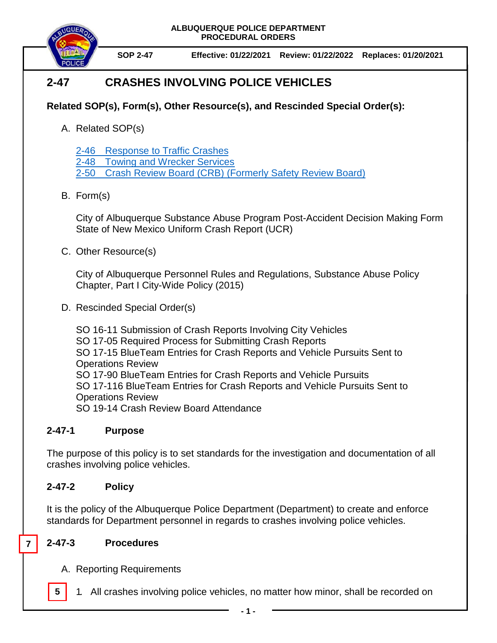

**SOP 2-47 Effective: 01/22/2021 Review: 01/22/2022 Replaces: 01/20/2021**

# **2-47 CRASHES INVOLVING POLICE VEHICLES**

## **Related SOP(s), Form(s), Other Resource(s), and Rescinded Special Order(s):**

A. Related SOP(s)

2-46 [Response to Traffic Crashes](https://powerdms.com/docs/1697014)

2-48 Towing [and Wrecker Services](https://powerdms.com/docs/131)

2-50 Crash Review Board (CRB) [\(Formerly Safety Review Board\)](https://powerdms.com/docs/207)

### B. Form(s)

City of Albuquerque Substance Abuse Program Post-Accident Decision Making Form State of New Mexico Uniform Crash Report (UCR)

C. Other Resource(s)

City of Albuquerque Personnel Rules and Regulations, Substance Abuse Policy Chapter, Part I City-Wide Policy (2015)

D. Rescinded Special Order(s)

SO 16-11 Submission of Crash Reports Involving City Vehicles SO 17-05 Required Process for Submitting Crash Reports SO 17-15 BlueTeam Entries for Crash Reports and Vehicle Pursuits Sent to Operations Review SO 17-90 BlueTeam Entries for Crash Reports and Vehicle Pursuits SO 17-116 BlueTeam Entries for Crash Reports and Vehicle Pursuits Sent to Operations Review

SO 19-14 Crash Review Board Attendance

### **2-47-1 Purpose**

The purpose of this policy is to set standards for the investigation and documentation of all crashes involving police vehicles.

### **2-47-2 Policy**

It is the policy of the Albuquerque Police Department (Department) to create and enforce standards for Department personnel in regards to crashes involving police vehicles.

#### **2-47-3 Procedures**

**7**

- A. Reporting Requirements
- **5** 1. All crashes involving police vehicles, no matter how minor, shall be recorded on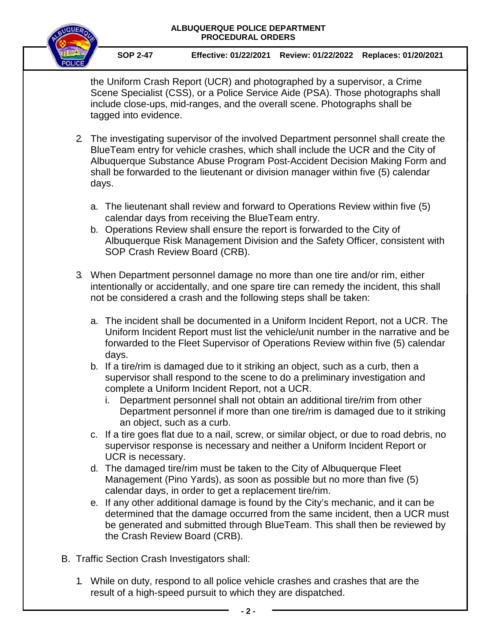

**SOP 2-47 Effective: 01/22/2021 Review: 01/22/2022 Replaces: 01/20/2021**

the Uniform Crash Report (UCR) and photographed by a supervisor, a Crime Scene Specialist (CSS), or a Police Service Aide (PSA). Those photographs shall include close-ups, mid-ranges, and the overall scene. Photographs shall be tagged into evidence.

- 2. The investigating supervisor of the involved Department personnel shall create the BlueTeam entry for vehicle crashes, which shall include the UCR and the City of Albuquerque Substance Abuse Program Post-Accident Decision Making Form and shall be forwarded to the lieutenant or division manager within five (5) calendar days.
	- a. The lieutenant shall review and forward to Operations Review within five (5) calendar days from receiving the BlueTeam entry.
	- b. Operations Review shall ensure the report is forwarded to the City of Albuquerque Risk Management Division and the Safety Officer, consistent with SOP Crash Review Board (CRB).
- 3. When Department personnel damage no more than one tire and/or rim, either intentionally or accidentally, and one spare tire can remedy the incident, this shall not be considered a crash and the following steps shall be taken:
	- a. The incident shall be documented in a Uniform Incident Report, not a UCR. The Uniform Incident Report must list the vehicle/unit number in the narrative and be forwarded to the Fleet Supervisor of Operations Review within five (5) calendar days.
	- b. If a tire/rim is damaged due to it striking an object, such as a curb, then a supervisor shall respond to the scene to do a preliminary investigation and complete a Uniform Incident Report, not a UCR.
		- i. Department personnel shall not obtain an additional tire/rim from other Department personnel if more than one tire/rim is damaged due to it striking an object, such as a curb.
	- c. If a tire goes flat due to a nail, screw, or similar object, or due to road debris, no supervisor response is necessary and neither a Uniform Incident Report or UCR is necessary.
	- d. The damaged tire/rim must be taken to the City of Albuquerque Fleet Management (Pino Yards), as soon as possible but no more than five (5) calendar days, in order to get a replacement tire/rim.
	- e. If any other additional damage is found by the City's mechanic, and it can be determined that the damage occurred from the same incident, then a UCR must be generated and submitted through BlueTeam. This shall then be reviewed by the Crash Review Board (CRB).
- B. Traffic Section Crash Investigators shall:
	- 1. While on duty, respond to all police vehicle crashes and crashes that are the result of a high-speed pursuit to which they are dispatched.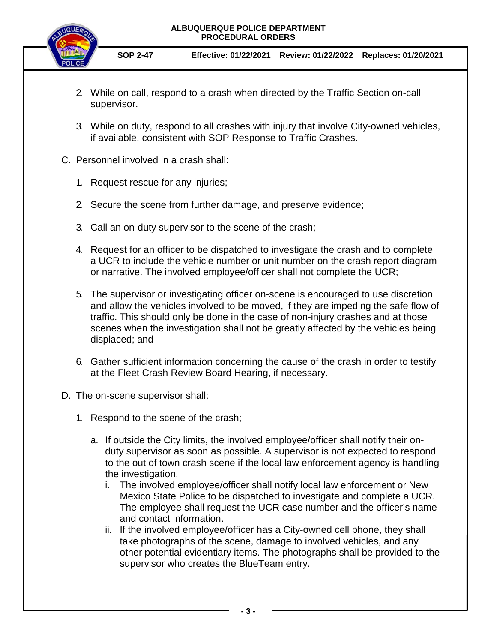

**SOP 2-47 Effective: 01/22/2021 Review: 01/22/2022 Replaces: 01/20/2021**

- 2. While on call, respond to a crash when directed by the Traffic Section on-call supervisor.
- 3. While on duty, respond to all crashes with injury that involve City-owned vehicles, if available, consistent with SOP Response to Traffic Crashes.
- C. Personnel involved in a crash shall:
	- 1. Request rescue for any injuries;
	- 2. Secure the scene from further damage, and preserve evidence;
	- 3. Call an on-duty supervisor to the scene of the crash;
	- 4. Request for an officer to be dispatched to investigate the crash and to complete a UCR to include the vehicle number or unit number on the crash report diagram or narrative. The involved employee/officer shall not complete the UCR;
	- 5. The supervisor or investigating officer on-scene is encouraged to use discretion and allow the vehicles involved to be moved, if they are impeding the safe flow of traffic. This should only be done in the case of non-injury crashes and at those scenes when the investigation shall not be greatly affected by the vehicles being displaced; and
	- 6. Gather sufficient information concerning the cause of the crash in order to testify at the Fleet Crash Review Board Hearing, if necessary.
- D. The on-scene supervisor shall:
	- 1. Respond to the scene of the crash;
		- a. If outside the City limits, the involved employee/officer shall notify their onduty supervisor as soon as possible. A supervisor is not expected to respond to the out of town crash scene if the local law enforcement agency is handling the investigation.
			- i. The involved employee/officer shall notify local law enforcement or New Mexico State Police to be dispatched to investigate and complete a UCR. The employee shall request the UCR case number and the officer's name and contact information.
			- ii. If the involved employee/officer has a City-owned cell phone, they shall take photographs of the scene, damage to involved vehicles, and any other potential evidentiary items. The photographs shall be provided to the supervisor who creates the BlueTeam entry.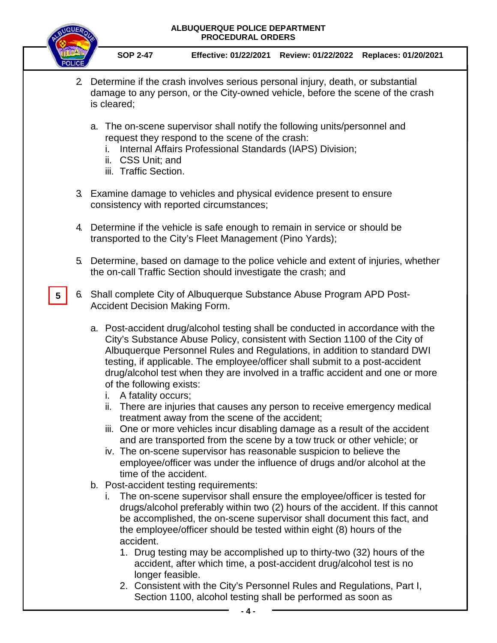

**5**

**SOP 2-47 Effective: 01/22/2021 Review: 01/22/2022 Replaces: 01/20/2021**

- 2. Determine if the crash involves serious personal injury, death, or substantial damage to any person, or the City-owned vehicle, before the scene of the crash is cleared;
	- a. The on-scene supervisor shall notify the following units/personnel and request they respond to the scene of the crash:
		- i. Internal Affairs Professional Standards (IAPS) Division;
		- ii. CSS Unit; and
		- iii. Traffic Section.
- 3. Examine damage to vehicles and physical evidence present to ensure consistency with reported circumstances;
- 4. Determine if the vehicle is safe enough to remain in service or should be transported to the City's Fleet Management (Pino Yards);
- 5. Determine, based on damage to the police vehicle and extent of injuries, whether the on-call Traffic Section should investigate the crash; and
- 6. Shall complete City of Albuquerque Substance Abuse Program APD Post-Accident Decision Making Form.
	- a. Post-accident drug/alcohol testing shall be conducted in accordance with the City's Substance Abuse Policy, consistent with Section 1100 of the City of Albuquerque Personnel Rules and Regulations, in addition to standard DWI testing, if applicable. The employee/officer shall submit to a post-accident drug/alcohol test when they are involved in a traffic accident and one or more of the following exists:
		- i. A fatality occurs;
		- ii. There are injuries that causes any person to receive emergency medical treatment away from the scene of the accident;
		- iii. One or more vehicles incur disabling damage as a result of the accident and are transported from the scene by a tow truck or other vehicle; or
		- iv. The on-scene supervisor has reasonable suspicion to believe the employee/officer was under the influence of drugs and/or alcohol at the time of the accident.
	- b. Post-accident testing requirements:
		- i. The on-scene supervisor shall ensure the employee/officer is tested for drugs/alcohol preferably within two (2) hours of the accident. If this cannot be accomplished, the on-scene supervisor shall document this fact, and the employee/officer should be tested within eight (8) hours of the accident.
			- 1. Drug testing may be accomplished up to thirty-two (32) hours of the accident, after which time, a post-accident drug/alcohol test is no longer feasible.
			- 2. Consistent with the City's Personnel Rules and Regulations, Part I, Section 1100, alcohol testing shall be performed as soon as